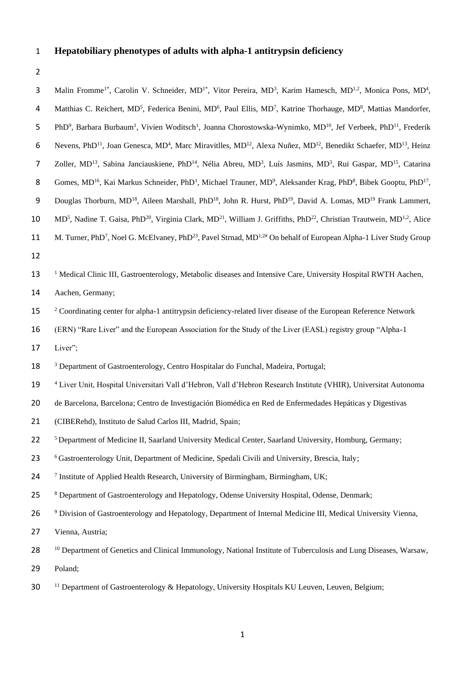# 1 **Hepatobiliary phenotypes of adults with alpha-1 antitrypsin deficiency**

| 3              | Malin Fromme <sup>1*</sup> , Carolin V. Schneider, MD <sup>1*</sup> , Vitor Pereira, MD <sup>3</sup> , Karim Hamesch, MD <sup>1,2</sup> , Monica Pons, MD <sup>4</sup> ,           |
|----------------|------------------------------------------------------------------------------------------------------------------------------------------------------------------------------------|
| 4              | Matthias C. Reichert, MD <sup>5</sup> , Federica Benini, MD <sup>6</sup> , Paul Ellis, MD <sup>7</sup> , Katrine Thorhauge, MD <sup>8</sup> , Mattias Mandorfer,                   |
| 5              | PhD <sup>9</sup> , Barbara Burbaum <sup>1</sup> , Vivien Woditsch <sup>1</sup> , Joanna Chorostowska-Wynimko, MD <sup>10</sup> , Jef Verbeek, PhD <sup>11</sup> , Frederik         |
| 6              | Nevens, PhD <sup>11</sup> , Joan Genesca, MD <sup>4</sup> , Marc Miravitlles, MD <sup>12</sup> , Alexa Nuñez, MD <sup>12</sup> , Benedikt Schaefer, MD <sup>13</sup> , Heinz       |
| $\overline{7}$ | Zoller, MD <sup>13</sup> , Sabina Janciauskiene, PhD <sup>14</sup> , Nélia Abreu, MD <sup>3</sup> , Luís Jasmins, MD <sup>3</sup> , Rui Gaspar, MD <sup>15</sup> , Catarina        |
| 8              | Gomes, MD <sup>16</sup> , Kai Markus Schneider, PhD <sup>1</sup> , Michael Trauner, MD <sup>9</sup> , Aleksander Krag, PhD <sup>8</sup> , Bibek Gooptu, PhD <sup>17</sup> ,        |
| 9              | Douglas Thorburn, MD <sup>18</sup> , Aileen Marshall, PhD <sup>18</sup> , John R. Hurst, PhD <sup>19</sup> , David A. Lomas, MD <sup>19</sup> Frank Lammert,                       |
| 10             | MD <sup>5</sup> , Nadine T. Gaisa, PhD <sup>20</sup> , Virginia Clark, MD <sup>21</sup> , William J. Griffiths, PhD <sup>22</sup> , Christian Trautwein, MD <sup>1,2</sup> , Alice |
| 11             | M. Turner, PhD <sup>7</sup> , Noel G. McElvaney, PhD <sup>23</sup> , Pavel Strnad, MD <sup>1,2#</sup> On behalf of European Alpha-1 Liver Study Group                              |
| 12             |                                                                                                                                                                                    |
| 13             | <sup>1</sup> Medical Clinic III, Gastroenterology, Metabolic diseases and Intensive Care, University Hospital RWTH Aachen,                                                         |
| 14             | Aachen, Germany;                                                                                                                                                                   |
| 15             | <sup>2</sup> Coordinating center for alpha-1 antitrypsin deficiency-related liver disease of the European Reference Network                                                        |
| 16             | (ERN) "Rare Liver" and the European Association for the Study of the Liver (EASL) registry group "Alpha-1                                                                          |
| 17             | Liver";                                                                                                                                                                            |
| 18             | <sup>3</sup> Department of Gastroenterology, Centro Hospitalar do Funchal, Madeira, Portugal;                                                                                      |
| 19             | <sup>4</sup> Liver Unit, Hospital Universitari Vall d'Hebron, Vall d'Hebron Research Institute (VHIR), Universitat Autonoma                                                        |
| 20             | de Barcelona, Barcelona; Centro de Investigación Biomédica en Red de Enfermedades Hepáticas y Digestivas                                                                           |
| 21             | (CIBERehd), Instituto de Salud Carlos III, Madrid, Spain;                                                                                                                          |
| 22             | <sup>5</sup> Department of Medicine II, Saarland University Medical Center, Saarland University, Homburg, Germany;                                                                 |
| 23             | <sup>6</sup> Gastroenterology Unit, Department of Medicine, Spedali Civili and University, Brescia, Italy;                                                                         |
| 24             | <sup>7</sup> Institute of Applied Health Research, University of Birmingham, Birmingham, UK;                                                                                       |
| 25             | <sup>8</sup> Department of Gastroenterology and Hepatology, Odense University Hospital, Odense, Denmark;                                                                           |
| 26             | <sup>9</sup> Division of Gastroenterology and Hepatology, Department of Internal Medicine III, Medical University Vienna,                                                          |
| 27             | Vienna, Austria;                                                                                                                                                                   |
| 28             | <sup>10</sup> Department of Genetics and Clinical Immunology, National Institute of Tuberculosis and Lung Diseases, Warsaw,                                                        |
| 29             | Poland;                                                                                                                                                                            |
| 30             | <sup>11</sup> Department of Gastroenterology & Hepatology, University Hospitals KU Leuven, Leuven, Belgium;                                                                        |
|                |                                                                                                                                                                                    |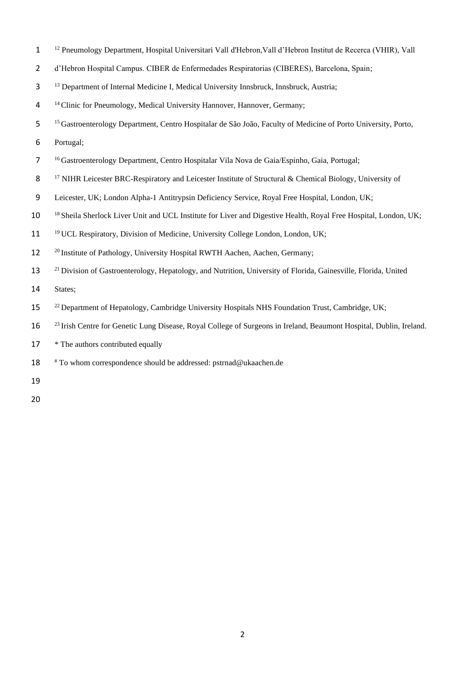- <sup>12</sup> 1 Pneumology Department, Hospital Universitari Vall d'Hebron,Vall d'Hebron Institut de Recerca (VHIR), Vall
- 2 d'Hebron Hospital Campus. CIBER de Enfermedades Respiratorias (CIBERES), Barcelona, Spain;
- 3 <sup>13</sup> Department of Internal Medicine I, Medical University Innsbruck, Innsbruck, Austria;
- <sup>14</sup> 4 Clinic for Pneumology, Medical University Hannover, Hannover, Germany;
- 5 <sup>15</sup> Gastroenterology Department, Centro Hospitalar de São João, Faculty of Medicine of Porto University, Porto,
- 6 Portugal;
- 7 <sup>16</sup> Gastroenterology Department, Centro Hospitalar Vila Nova de Gaia/Espinho, Gaia, Portugal;
- 8 <sup>17</sup> NIHR Leicester BRC-Respiratory and Leicester Institute of Structural & Chemical Biology, University of
- 9 Leicester, UK; London Alpha-1 Antitrypsin Deficiency Service, Royal Free Hospital, London, UK;
- 10<sup>18</sup> Sheila Sherlock Liver Unit and UCL Institute for Liver and Digestive Health, Royal Free Hospital, London, UK;
- 11 <sup>19</sup> UCL Respiratory, Division of Medicine, University College London, London, UK;
- <sup>20</sup> Institute of Pathology, University Hospital RWTH Aachen, Aachen, Germany;
- <sup>21</sup> Division of Gastroenterology, Hepatology, and Nutrition, University of Florida, Gainesville, Florida, United
- 14 States;
- 15 <sup>22</sup> Department of Hepatology, Cambridge University Hospitals NHS Foundation Trust, Cambridge, UK;
- <sup>23</sup> Irish Centre for Genetic Lung Disease, Royal College of Surgeons in Ireland, Beaumont Hospital, Dublin, Ireland.
- 17 \* The authors contributed equally
- 18  $*$  To whom correspondence should be addressed: pstrnad@ukaachen.de
- 19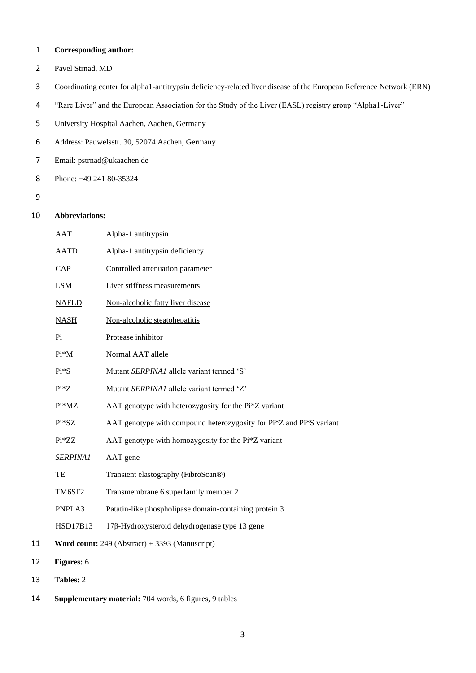## 1 **Corresponding author:**

- 2 Pavel Strnad, MD
- 3 Coordinating center for alpha1-antitrypsin deficiency-related liver disease of the European Reference Network (ERN)
- 4 "Rare Liver" and the European Association for the Study of the Liver (EASL) registry group "Alpha1-Liver"
- 5 University Hospital Aachen, Aachen, Germany
- 6 Address: Pauwelsstr. 30, 52074 Aachen, Germany
- 7 Email: pstrnad@ukaachen.de
- 8 Phone: +49 241 80-35324
- 9

12 **Figures:** 6

13 **Tables:** 2

# 10 **Abbreviations:**

|    | AAT             | Alpha-1 antitrypsin                                                 |
|----|-----------------|---------------------------------------------------------------------|
|    | <b>AATD</b>     | Alpha-1 antitrypsin deficiency                                      |
|    | <b>CAP</b>      | Controlled attenuation parameter                                    |
|    | <b>LSM</b>      | Liver stiffness measurements                                        |
|    | <b>NAFLD</b>    | Non-alcoholic fatty liver disease                                   |
|    | <b>NASH</b>     | Non-alcoholic steatohepatitis                                       |
|    | Pi              | Protease inhibitor                                                  |
|    | $Pi^*M$         | Normal AAT allele                                                   |
|    | $Pi*S$          | Mutant SERPINA1 allele variant termed 'S'                           |
|    | $Pi*Z$          | Mutant SERPINA1 allele variant termed 'Z'                           |
|    | Pi*MZ           | AAT genotype with heterozygosity for the Pi*Z variant               |
|    | $Pi*SZ$         | AAT genotype with compound heterozygosity for Pi*Z and Pi*S variant |
|    | Pi*ZZ           | AAT genotype with homozygosity for the Pi*Z variant                 |
|    | SERPINA1        | AAT gene                                                            |
|    | TE              | Transient elastography (FibroScan®)                                 |
|    | TM6SF2          | Transmembrane 6 superfamily member 2                                |
|    | PNPLA3          | Patatin-like phospholipase domain-containing protein 3              |
|    | <b>HSD17B13</b> | 17β-Hydroxysteroid dehydrogenase type 13 gene                       |
| 11 |                 | Word count: $249$ (Abstract) + 3393 (Manuscript)                    |
| 12 | Figures: 6      |                                                                     |
| 13 | Tables: 2       |                                                                     |

14 **Supplementary material:** 704 words, 6 figures, 9 tables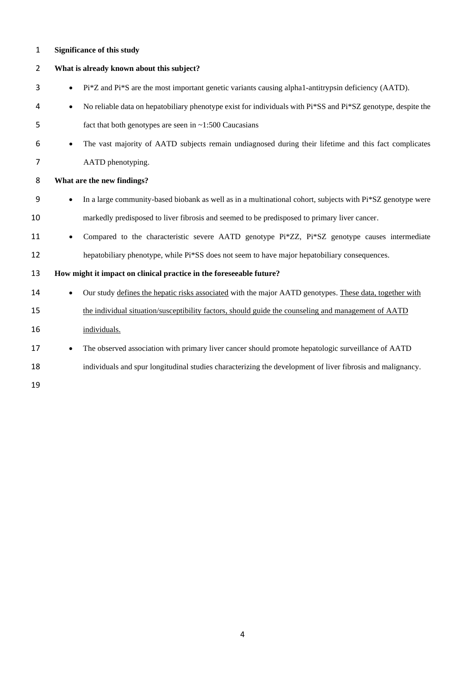# **Significance of this study**

| $\overline{2}$ | What is already known about this subject?                                                                                 |
|----------------|---------------------------------------------------------------------------------------------------------------------------|
| 3              | Pi*Z and Pi*S are the most important genetic variants causing alpha1-antitrypsin deficiency (AATD).<br>$\bullet$          |
| 4              | No reliable data on hepatobiliary phenotype exist for individuals with Pi*SS and Pi*SZ genotype, despite the<br>$\bullet$ |
| 5              | fact that both genotypes are seen in $\sim$ 1:500 Caucasians                                                              |
| 6              | The vast majority of AATD subjects remain undiagnosed during their lifetime and this fact complicates<br>$\bullet$        |
| 7              | AATD phenotyping.                                                                                                         |
| 8              | What are the new findings?                                                                                                |
| 9              | In a large community-based biobank as well as in a multinational cohort, subjects with Pi*SZ genotype were                |
| 10             | markedly predisposed to liver fibrosis and seemed to be predisposed to primary liver cancer.                              |
| 11             | Compared to the characteristic severe AATD genotype Pi*ZZ, Pi*SZ genotype causes intermediate                             |
| 12             | hepatobiliary phenotype, while Pi*SS does not seem to have major hepatobiliary consequences.                              |
| 13             | How might it impact on clinical practice in the foreseeable future?                                                       |
| 14             | Our study defines the hepatic risks associated with the major AATD genotypes. These data, together with                   |
| 15             | the individual situation/susceptibility factors, should guide the counseling and management of AATD                       |
| 16             | individuals.                                                                                                              |
| 17             | The observed association with primary liver cancer should promote hepatologic surveillance of AATD<br>$\bullet$           |
| 18             | individuals and spur longitudinal studies characterizing the development of liver fibrosis and malignancy.                |
| 19             |                                                                                                                           |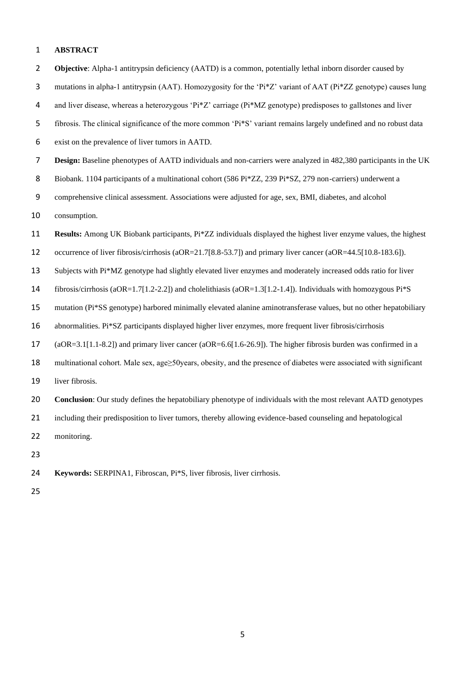#### **ABSTRACT**

 **Objective**: Alpha-1 antitrypsin deficiency (AATD) is a common, potentially lethal inborn disorder caused by 3 mutations in alpha-1 antitrypsin (AAT). Homozygosity for the 'Pi\*Z' variant of AAT (Pi\*ZZ genotype) causes lung and liver disease, whereas a heterozygous 'Pi\*Z' carriage (Pi\*MZ genotype) predisposes to gallstones and liver fibrosis. The clinical significance of the more common 'Pi\*S' variant remains largely undefined and no robust data exist on the prevalence of liver tumors in AATD. **Design:** Baseline phenotypes of AATD individuals and non-carriers were analyzed in 482,380 participants in the UK 8 Biobank. 1104 participants of a multinational cohort (586 Pi\*ZZ, 239 Pi\*SZ, 279 non-carriers) underwent a comprehensive clinical assessment. Associations were adjusted for age, sex, BMI, diabetes, and alcohol consumption. **Results:** Among UK Biobank participants, Pi\*ZZ individuals displayed the highest liver enzyme values, the highest 12 occurrence of liver fibrosis/cirrhosis (aOR=21.7[8.8-53.7]) and primary liver cancer (aOR=44.5[10.8-183.6]). Subjects with Pi\*MZ genotype had slightly elevated liver enzymes and moderately increased odds ratio for liver fibrosis/cirrhosis (aOR=1.7[1.2-2.2]) and cholelithiasis (aOR=1.3[1.2-1.4]). Individuals with homozygous Pi\*S mutation (Pi\*SS genotype) harbored minimally elevated alanine aminotransferase values, but no other hepatobiliary abnormalities. Pi\*SZ participants displayed higher liver enzymes, more frequent liver fibrosis/cirrhosis (aOR=3.1[1.1-8.2]) and primary liver cancer (aOR=6.6[1.6-26.9]). The higher fibrosis burden was confirmed in a multinational cohort. Male sex, age≥50years, obesity, and the presence of diabetes were associated with significant liver fibrosis. **Conclusion**: Our study defines the hepatobiliary phenotype of individuals with the most relevant AATD genotypes including their predisposition to liver tumors, thereby allowing evidence-based counseling and hepatological monitoring. 

- **Keywords:** SERPINA1, Fibroscan, Pi\*S, liver fibrosis, liver cirrhosis.
-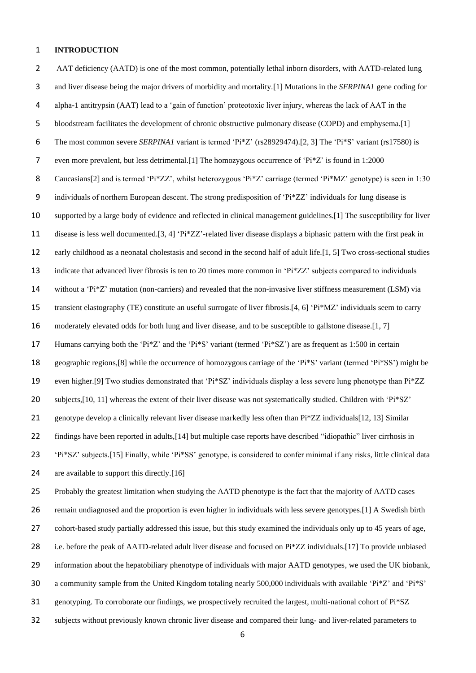#### **INTRODUCTION**

2 AAT deficiency (AATD) is one of the most common, potentially lethal inborn disorders, with AATD-related lung and liver disease being the major drivers of morbidity and mortality.[\[1\]](#page-20-0) Mutations in the *SERPINA1* gene coding for alpha-1 antitrypsin (AAT) lead to a 'gain of function' proteotoxic liver injury, whereas the lack of AAT in the bloodstream facilitates the development of chronic obstructive pulmonary disease (COPD) and emphysema.[\[1\]](#page-20-0) The most common severe *SERPINA1* variant is termed 'Pi\*Z' (rs28929474).[\[2,](#page-20-1) [3\]](#page-20-2) The 'Pi\*S' variant (rs17580) is even more prevalent, but less detrimental.[\[1\]](#page-20-0) The homozygous occurrence of 'Pi\*Z' is found in 1:2000 8 Caucasians[\[2\]](#page-20-1) and is termed 'Pi\*ZZ', whilst heterozygous 'Pi\*Z' carriage (termed 'Pi\*MZ' genotype) is seen in 1:30 individuals of northern European descent. The strong predisposition of 'Pi\*ZZ' individuals for lung disease is supported by a large body of evidence and reflected in clinical management guidelines.[\[1\]](#page-20-0) The susceptibility for liver disease is less well documented.[\[3,](#page-20-2) [4\]](#page-20-3) 'Pi\*ZZ'-related liver disease displays a biphasic pattern with the first peak in early childhood as a neonatal cholestasis and second in the second half of adult life.[\[1,](#page-20-0) [5\]](#page-20-4) Two cross-sectional studies indicate that advanced liver fibrosis is ten to 20 times more common in 'Pi\*ZZ' subjects compared to individuals without a 'Pi\*Z' mutation (non-carriers) and revealed that the non-invasive liver stiffness measurement (LSM) via transient elastography (TE) constitute an useful surrogate of liver fibrosis.[\[4,](#page-20-3) [6\]](#page-20-5) 'Pi\*MZ' individuals seem to carry moderately elevated odds for both lung and liver disease, and to be susceptible to gallstone disease.[\[1,](#page-20-0) [7\]](#page-20-6) Humans carrying both the 'Pi\*Z' and the 'Pi\*S' variant (termed 'Pi\*SZ') are as frequent as 1:500 in certain geographic regions,[\[8\]](#page-20-7) while the occurrence of homozygous carriage of the 'Pi\*S' variant (termed 'Pi\*SS') might be even higher.[\[9\]](#page-20-8) Two studies demonstrated that 'Pi\*SZ' individuals display a less severe lung phenotype than Pi\*ZZ subjects,[\[10,](#page-20-9) [11\]](#page-20-10) whereas the extent of their liver disease was not systematically studied. Children with 'Pi\*SZ' 21 genotype develop a clinically relevant liver disease markedly less often than  $Pi*ZZ$  individuals [\[12,](#page-20-11) [13\]](#page-20-12) Similar 22 findings have been reported in adults, [\[14\]](#page-20-13) but multiple case reports have described "idiopathic" liver cirrhosis in 'Pi\*SZ' subjects.[\[15\]](#page-20-14) Finally, while 'Pi\*SS' genotype, is considered to confer minimal if any risks, little clinical data 24 are available to support this directly. [\[16\]](#page-20-15) Probably the greatest limitation when studying the AATD phenotype is the fact that the majority of AATD cases remain undiagnosed and the proportion is even higher in individuals with less severe genotypes.[\[1\]](#page-20-0) A Swedish birth cohort-based study partially addressed this issue, but this study examined the individuals only up to 45 years of age, 28 i.e. before the peak of AATD-related adult liver disease and focused on  $Pi*ZZ$  individuals.[\[17\]](#page-20-16) To provide unbiased information about the hepatobiliary phenotype of individuals with major AATD genotypes, we used the UK biobank, a community sample from the United Kingdom totaling nearly 500,000 individuals with available 'Pi\*Z' and 'Pi\*S' genotyping. To corroborate our findings, we prospectively recruited the largest, multi-national cohort of Pi\*SZ subjects without previously known chronic liver disease and compared their lung- and liver-related parameters to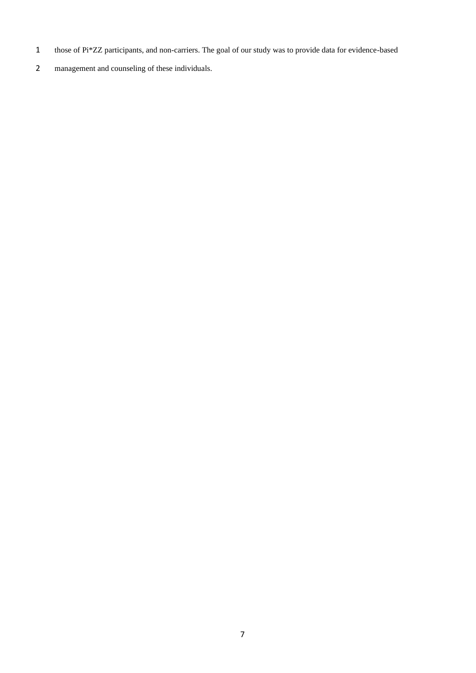- those of Pi\*ZZ participants, and non-carriers. The goal of our study was to provide data for evidence-based
- management and counseling of these individuals.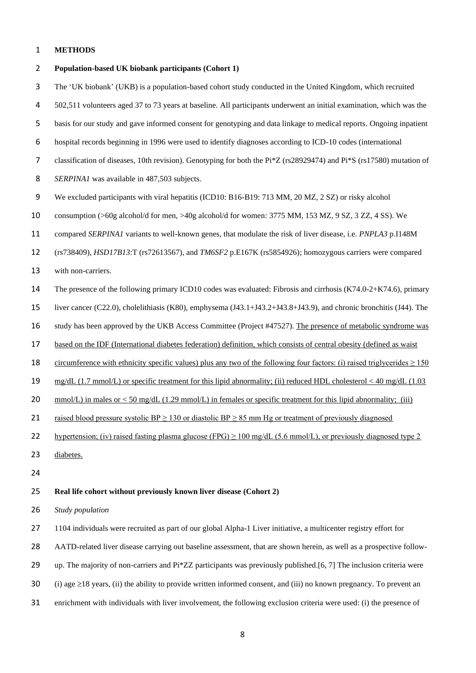# **METHODS**

| $\overline{2}$ | Population-based UK biobank participants (Cohort 1)                                                                                   |
|----------------|---------------------------------------------------------------------------------------------------------------------------------------|
| 3              | The 'UK biobank' (UKB) is a population-based cohort study conducted in the United Kingdom, which recruited                            |
| 4              | 502,511 volunteers aged 37 to 73 years at baseline. All participants underwent an initial examination, which was the                  |
| 5              | basis for our study and gave informed consent for genotyping and data linkage to medical reports. Ongoing inpatient                   |
| 6              | hospital records beginning in 1996 were used to identify diagnoses according to ICD-10 codes (international                           |
| $\overline{7}$ | classification of diseases, 10th revision). Genotyping for both the Pi*Z (rs28929474) and Pi*S (rs17580) mutation of                  |
| $\,8\,$        | SERPINA1 was available in 487,503 subjects.                                                                                           |
| 9              | We excluded participants with viral hepatitis (ICD10: B16-B19: 713 MM, 20 MZ, 2 SZ) or risky alcohol                                  |
| 10             | consumption (>60g alcohol/d for men, >40g alcohol/d for women: 3775 MM, 153 MZ, 9 SZ, 3 ZZ, 4 SS). We                                 |
| 11             | compared SERPINA1 variants to well-known genes, that modulate the risk of liver disease, i.e. PNPLA3 p.I148M                          |
| 12             | (rs738409), HSD17B13:T (rs72613567), and TM6SF2 p.E167K (rs5854926); homozygous carriers were compared                                |
| 13             | with non-carriers.                                                                                                                    |
| 14             | The presence of the following primary ICD10 codes was evaluated: Fibrosis and cirrhosis (K74.0-2+K74.6), primary                      |
| 15             | liver cancer (C22.0), cholelithiasis (K80), emphysema (J43.1+J43.2+J43.8+J43.9), and chronic bronchitis (J44). The                    |
| 16             | study has been approved by the UKB Access Committee (Project #47527). The presence of metabolic syndrome was                          |
| 17             | based on the IDF (International diabetes federation) definition, which consists of central obesity (defined as waist                  |
| 18             | <u>circumference</u> with ethnicity specific values) plus any two of the following four factors: (i) raised trigly cerides $\geq 150$ |
| 19             | $mg/dL$ (1.7 mmol/L) or specific treatment for this lipid abnormality; (ii) reduced HDL cholesterol < 40 mg/dL (1.03                  |
| 20             | mmol/L) in males or $<$ 50 mg/dL (1.29 mmol/L) in females or specific treatment for this lipid abnormality; (iii)                     |
| 21             | raised blood pressure systolic BP $\geq$ 130 or diastolic BP $\geq$ 85 mm Hg or treatment of previously diagnosed                     |
| 22             | hypertension; (iv) raised fasting plasma glucose (FPG) $\geq$ 100 mg/dL (5.6 mmol/L), or previously diagnosed type 2                  |
| 23             | diabetes.                                                                                                                             |
| 24             |                                                                                                                                       |
| 25             | Real life cohort without previously known liver disease (Cohort 2)                                                                    |
| 26             | Study population                                                                                                                      |
| 27             | 1104 individuals were recruited as part of our global Alpha-1 Liver initiative, a multicenter registry effort for                     |
| 28             | AATD-related liver disease carrying out baseline assessment, that are shown herein, as well as a prospective follow-                  |
| 29             | up. The majority of non-carriers and Pi*ZZ participants was previously published.[6, 7] The inclusion criteria were                   |
| 30             | (i) age $\geq$ 18 years, (ii) the ability to provide written informed consent, and (iii) no known pregnancy. To prevent an            |

enrichment with individuals with liver involvement, the following exclusion criteria were used: (i) the presence of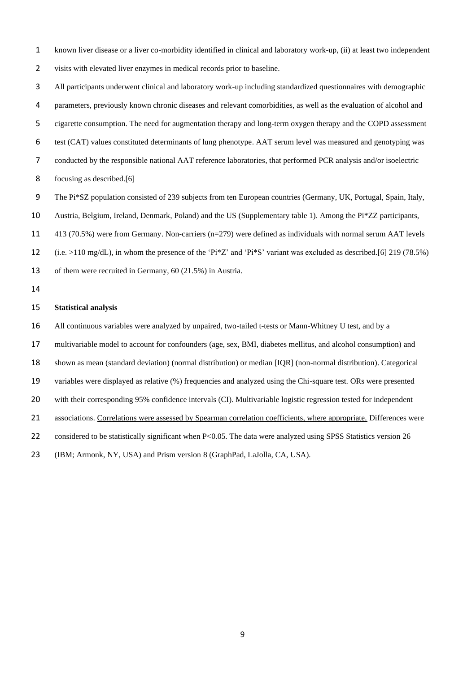known liver disease or a liver co-morbidity identified in clinical and laboratory work-up, (ii) at least two independent visits with elevated liver enzymes in medical records prior to baseline.

 All participants underwent clinical and laboratory work-up including standardized questionnaires with demographic parameters, previously known chronic diseases and relevant comorbidities, as well as the evaluation of alcohol and cigarette consumption. The need for augmentation therapy and long-term oxygen therapy and the COPD assessment test (CAT) values constituted determinants of lung phenotype. AAT serum level was measured and genotyping was conducted by the responsible national AAT reference laboratories, that performed PCR analysis and/or isoelectric focusing as described.[\[6\]](#page-20-5) The Pi\*SZ population consisted of 239 subjects from ten European countries (Germany, UK, Portugal, Spain, Italy,

- 
- Austria, Belgium, Ireland, Denmark, Poland) and the US (Supplementary table 1). Among the Pi\*ZZ participants,
- 413 (70.5%) were from Germany. Non-carriers (n=279) were defined as individuals with normal serum AAT levels
- 12 (i.e.  $>110 \text{ mg/dL}$ ), in whom the presence of the 'Pi\*Z' and 'Pi\*S' variant was excluded as described.[\[6\]](#page-20-5) 219 (78.5%)
- of them were recruited in Germany, 60 (21.5%) in Austria.
- 

#### **Statistical analysis**

- All continuous variables were analyzed by unpaired, two-tailed t-tests or Mann-Whitney U test, and by a
- multivariable model to account for confounders (age, sex, BMI, diabetes mellitus, and alcohol consumption) and
- shown as mean (standard deviation) (normal distribution) or median [IQR] (non-normal distribution). Categorical
- variables were displayed as relative (%) frequencies and analyzed using the Chi-square test. ORs were presented
- with their corresponding 95% confidence intervals (CI). Multivariable logistic regression tested for independent
- associations. Correlations were assessed by Spearman correlation coefficients, where appropriate. Differences were
- 22 considered to be statistically significant when P<0.05. The data were analyzed using SPSS Statistics version 26
- (IBM; Armonk, NY, USA) and Prism version 8 (GraphPad, LaJolla, CA, USA).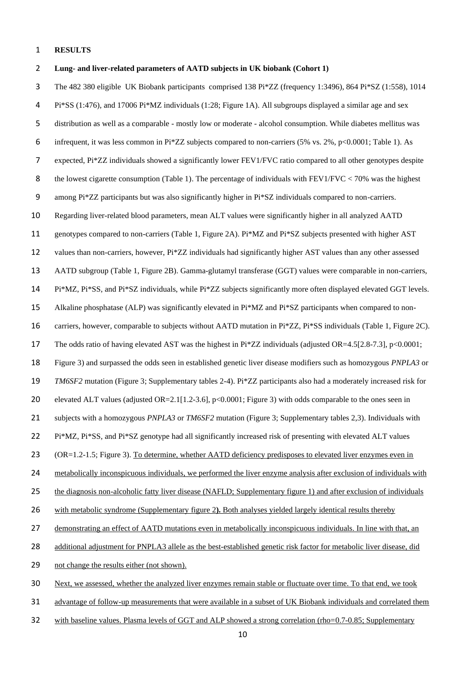#### **RESULTS**

 **Lung- and liver-related parameters of AATD subjects in UK biobank (Cohort 1)** The 482 380 eligible UK Biobank participants comprised 138 Pi\*ZZ (frequency 1:3496), 864 Pi\*SZ (1:558), 1014 Pi\*SS (1:476), and 17006 Pi\*MZ individuals (1:28; Figure 1A). All subgroups displayed a similar age and sex distribution as well as a comparable - mostly low or moderate - alcohol consumption. While diabetes mellitus was infrequent, it was less common in Pi\*ZZ subjects compared to non-carriers (5% vs. 2%, p<0.0001; Table 1). As expected, Pi\*ZZ individuals showed a significantly lower FEV1/FVC ratio compared to all other genotypes despite 8 the lowest cigarette consumption (Table 1). The percentage of individuals with FEV1/FVC < 70% was the highest among Pi\*ZZ participants but was also significantly higher in Pi\*SZ individuals compared to non-carriers. Regarding liver-related blood parameters, mean ALT values were significantly higher in all analyzed AATD genotypes compared to non-carriers (Table 1, Figure 2A). Pi\*MZ and Pi\*SZ subjects presented with higher AST values than non-carriers, however, Pi\*ZZ individuals had significantly higher AST values than any other assessed AATD subgroup (Table 1, Figure 2B). Gamma-glutamyl transferase (GGT) values were comparable in non-carriers, Pi\*MZ, Pi\*SS, and Pi\*SZ individuals, while Pi\*ZZ subjects significantly more often displayed elevated GGT levels. Alkaline phosphatase (ALP) was significantly elevated in Pi\*MZ and Pi\*SZ participants when compared to non- carriers, however, comparable to subjects without AATD mutation in Pi\*ZZ, Pi\*SS individuals (Table 1, Figure 2C). The odds ratio of having elevated AST was the highest in Pi\*ZZ individuals (adjusted OR=4.5[2.8-7.3], p<0.0001; Figure 3) and surpassed the odds seen in established genetic liver disease modifiers such as homozygous *PNPLA3* or *TM6SF2* mutation (Figure 3; Supplementary tables 2-4). Pi\*ZZ participants also had a moderately increased risk for elevated ALT values (adjusted OR=2.1[1.2-3.6], p<0.0001; Figure 3) with odds comparable to the ones seen in subjects with a homozygous *PNPLA3* or *TM6SF2* mutation (Figure 3; Supplementary tables 2,3). Individuals with Pi\*MZ, Pi\*SS, and Pi\*SZ genotype had all significantly increased risk of presenting with elevated ALT values (OR=1.2-1.5; Figure 3). To determine, whether AATD deficiency predisposes to elevated liver enzymes even in metabolically inconspicuous individuals, we performed the liver enzyme analysis after exclusion of individuals with 25 the diagnosis non-alcoholic fatty liver disease (NAFLD; Supplementary figure 1) and after exclusion of individuals with metabolic syndrome (Supplementary figure 2**).** Both analyses yielded largely identical results thereby demonstrating an effect of AATD mutations even in metabolically inconspicuous individuals. In line with that, an additional adjustment for PNPLA3 allele as the best-established genetic risk factor for metabolic liver disease, did not change the results either (not shown). Next, we assessed, whether the analyzed liver enzymes remain stable or fluctuate over time. To that end, we took advantage of follow-up measurements that were available in a subset of UK Biobank individuals and correlated them

32 with baseline values. Plasma levels of GGT and ALP showed a strong correlation (rho=0.7-0.85; Supplementary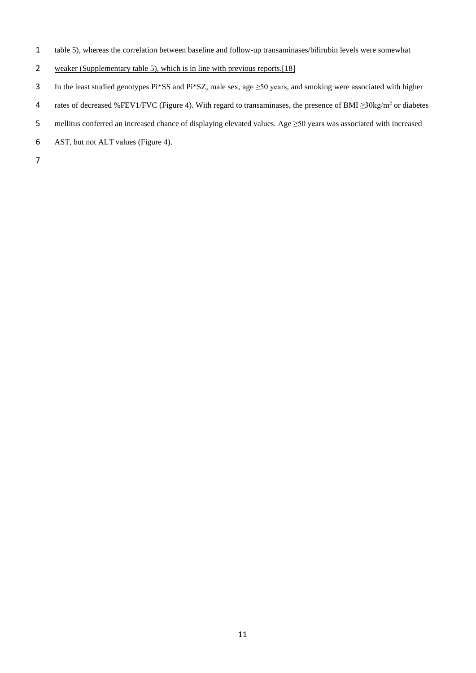- table 5), whereas the correlation between baseline and follow-up transaminases/bilirubin levels were somewhat
- 2 weaker (Supplementary table 5), which is in line with previous reports.[\[18\]](#page-20-17)
- In the least studied genotypes Pi\*SS and Pi\*SZ, male sex, age ≥50 years, and smoking were associated with higher
- rates of decreased %FEV1/FVC (Figure 4). With regard to transaminases, the presence of BMI ≥30kg/m<sup>2</sup> or diabetes
- mellitus conferred an increased chance of displaying elevated values. Age ≥50 years was associated with increased
- AST, but not ALT values (Figure 4).
-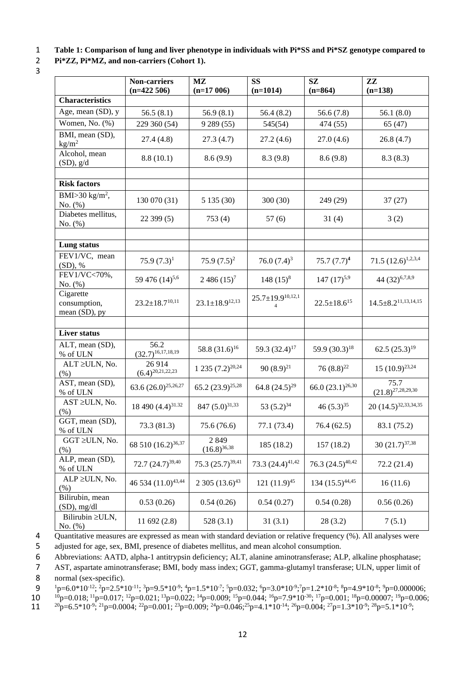- 3
- 1 **Table 1: Comparison of lung and liver phenotype in individuals with Pi\*SS and Pi\*SZ genotype compared to**

2 **Pi\*ZZ, Pi\*MZ, and non-carriers (Cohort 1).** 

|                                            | <b>Non-carriers</b><br>$(n=422506)$ | $\mathbf{M}\mathbf{Z}$<br>$(n=17006)$ | <b>SS</b><br>$(n=1014)$                     | SZ<br>$(n=864)$             | $\mathbf{Z}\mathbf{Z}$<br>$(n=138)$ |
|--------------------------------------------|-------------------------------------|---------------------------------------|---------------------------------------------|-----------------------------|-------------------------------------|
| <b>Characteristics</b>                     |                                     |                                       |                                             |                             |                                     |
| Age, mean (SD), y                          | 56.5(8.1)                           | 56.9(8.1)                             | 56.4(8.2)                                   | 56.6(7.8)                   | 56.1 $(8.0)$                        |
| Women, No. (%)                             | 229 360 (54)                        | 9 289 (55)                            | 545(54)                                     | 474 (55)                    | 65(47)                              |
| BMI, mean (SD),<br>$\text{kg/m}^2$         | 27.4(4.8)                           | 27.3(4.7)                             | 27.2(4.6)                                   | 27.0(4.6)                   | 26.8(4.7)                           |
| Alcohol, mean<br>$(SD)$ , $g/d$            | 8.8(10.1)                           | 8.6(9.9)                              | 8.3(9.8)                                    | 8.6(9.8)                    | 8.3(8.3)                            |
| <b>Risk factors</b>                        |                                     |                                       |                                             |                             |                                     |
| BMI $>$ 30 kg/m <sup>2</sup> ,<br>No. (%)  | 130 070 (31)                        | 5 135 (30)                            | 300(30)                                     | 249 (29)                    | 37(27)                              |
| Diabetes mellitus,<br>No. (%)              | 22 399 (5)                          | 753(4)                                | 57(6)                                       | 31(4)                       | 3(2)                                |
| Lung status                                |                                     |                                       |                                             |                             |                                     |
| FEV1/VC, mean                              |                                     |                                       |                                             |                             |                                     |
| $(SD),$ %                                  | 75.9 $(7.3)^1$                      | 75.9 $(7.5)^2$                        | 76.0 $(7.4)^3$                              | $75.7(7.7)^4$               | 71.5 $(12.6)^{1,2,3,4}$             |
| FEV1/VC<70%,<br>No. (%)                    | 59 476 (14) <sup>5,6</sup>          | $2486(15)^7$                          | $148(15)^8$                                 | $147 (17)^{5,9}$            | 44 (32) <sup>6,7,8,9</sup>          |
| Cigarette<br>consumption,<br>mean (SD), py | $23.2 \pm 18.7^{10,11}$             | $23.1 \pm 18.9^{12,13}$               | $25.7 \pm 19.9^{10,12,1}$<br>$\overline{4}$ | $22.5 \pm 18.6^{15}$        | $14.5 \pm 8.2^{11,13,14,15}$        |
|                                            |                                     |                                       |                                             |                             |                                     |
| <b>Liver status</b>                        |                                     |                                       |                                             |                             |                                     |
| ALT, mean (SD),<br>% of ULN                | 56.2<br>$(32.7)^{16,17,18,19}$      | 58.8 $(31.6)^{16}$                    | 59.3 (32.4) <sup>17</sup>                   | 59.9 (30.3) <sup>18</sup>   | 62.5 $(25.3)^{19}$                  |
| ALT ≥ULN, No.<br>(% )                      | 26914<br>$(6.4)^{20,21,22,23}$      | $1235 (7.2)^{20,24}$                  | 90 $(8.9)^{21}$                             | $76(8.8)^{22}$              | $15(10.9)^{23,24}$                  |
| AST, mean (SD),<br>% of ULN                | 63.6 $(26.0)^{25,26,27}$            | 65.2 $(23.9)^{25,28}$                 | 64.8 $(24.5)^{29}$                          | 66.0 $(23.1)^{26,30}$       | 75.7<br>$(21.8)^{27,28,29,30}$      |
| $AST \geq ULN$ , No.<br>$(\% )$            | 18 490 (4.4) <sup>31.32</sup>       | 847 $(5.0)^{31,33}$                   | 53 $(5.2)^{34}$                             | 46 $(5.3)^{35}$             | 20 (14.5) <sup>32,33,34,35</sup>    |
| GGT, mean (SD),<br>% of ULN                | 73.3(81.3)                          | 75.6 (76.6)                           | 77.1(73.4)                                  | 76.4(62.5)                  | 83.1 (75.2)                         |
| GGT ≥ULN, No.<br>(% )                      | 68 510 (16.2) <sup>36,37</sup>      | 2849<br>$(16.8)^{36,38}$              | 185 (18.2)                                  | 157 (18.2)                  | 30 $(21.7)^{37,38}$                 |
| ALP, mean (SD),<br>% of ULN                | 72.7 $(24.7)^{39,40}$               | 75.3 $(25.7)^{39,41}$                 | 73.3 (24.4) <sup>41,42</sup>                | 76.3 $(24.5)^{40,42}$       | 72.2(21.4)                          |
| $ALP \geq ULN$ , No.<br>(% )               | 46 534 (11.0) <sup>43,44</sup>      | $2305(13.6)^{43}$                     | 121 $(11.9)^{45}$                           | 134 (15.5) <sup>44,45</sup> | 16(11.6)                            |
| Bilirubin, mean<br>$(SD)$ , mg/dl          | 0.53(0.26)                          | 0.54(0.26)                            | 0.54(0.27)                                  | 0.54(0.28)                  | 0.56(0.26)                          |
| Bilirubin ≥ULN,<br>No. (%)                 | 11 692 (2.8)                        | 528(3.1)                              | 31(3.1)                                     | 28(3.2)                     | 7(5.1)                              |

4 Quantitative measures are expressed as mean with standard deviation or relative frequency (%). All analyses were

5 adjusted for age, sex, BMI, presence of diabetes mellitus, and mean alcohol consumption.

6 Abbreviations: AATD, alpha-1 antitrypsin deficiency; ALT, alanine aminotransferase; ALP, alkaline phosphatase;

7 AST, aspartate aminotransferase; BMI, body mass index; GGT, gamma-glutamyl transferase; ULN, upper limit of

8 normal (sex-specific).

9  ${}^{1}p=6.0*10^{12}; {}^{2}p=2.5*10^{11}; {}^{3}p=9.5*10^{9}; {}^{4}p=1.5*10^{7}; {}^{5}p=0.032; {}^{6}p=3.0*10^{9}; {}^{7}p=1.2*10^{8}; {}^{8}p=4.9*10^{8}; {}^{9}p=0.000006;$ 

10  $^{10}$ p=0.018;  $^{11}$ p=0.017;  $^{12}$ p=0.021;  $^{13}$ p=0.022;  $^{14}$ p=0.009;  $^{15}$ p=0.044;  $^{16}$ p=7.9\*10<sup>-30</sup>;  $^{17}$ p=0.001;  $^{18}$ p=0.00007;  $^{19}$ p=0.006;

11  ${}^{20}p=6.5*10^{-9}; {}^{21}p=0.0004; {}^{22}p=0.001; {}^{23}p=0.009; {}^{24}p=0.046; {}^{25}p=4.1*10^{-14}; {}^{26}p=0.004; {}^{27}p=1.3*10^{-9}; {}^{28}p=5.1*10^{-9};$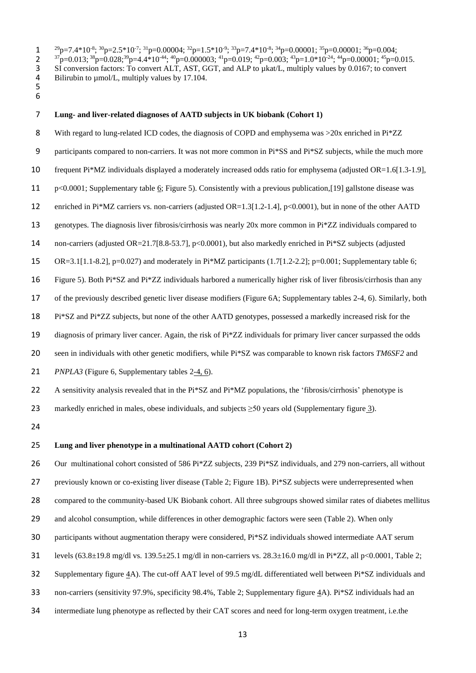$1^{\frac{29}{2}}$ p=7.4\*10<sup>-8</sup>;  $\frac{30}{2}$ p=2.5\*10<sup>-7</sup>;  $\frac{31}{2}$ p=0.00004;  $\frac{32}{2}$ p=1.5\*10<sup>-9</sup>;  $\frac{33}{2}$ p=7.4\*10<sup>-8</sup>;  $\frac{34}{2}$ p=0.00001;  $\frac{35}{2}$ p=0.00001;  $\frac{36}{2}$ p=0.004;

2  ${}^{37}p=0.013; {}^{38}p=0.028; {}^{39}p=4.4*10^{44}; {}^{40}p=0.000003; {}^{41}p=0.019; {}^{42}p=0.003; {}^{43}p=1.0*10^{24}; {}^{44}p=0.00001; {}^{45}p=0.015.$ 3 SI conversion factors: To convert ALT, AST, GGT, and ALP to *µkat/L*, multiply values by 0.0167; to convert<br>4 Bilirubin to *µmol/L*, multiply values by 17.104. Bilirubin to  $\mu$ mol/L, multiply values by 17.104.

 

#### **Lung- and liver-related diagnoses of AATD subjects in UK biobank (Cohort 1)**

8 With regard to lung-related ICD codes, the diagnosis of COPD and emphysema was >20x enriched in Pi\*ZZ participants compared to non-carriers. It was not more common in Pi\*SS and Pi\*SZ subjects, while the much more 10 frequent Pi\*MZ individuals displayed a moderately increased odds ratio for emphysema (adjusted OR=1.6[1.3-1.9], p<0.0001; Supplementary table 6; Figure 5). Consistently with a previous publication,[\[19\]](#page-20-18) gallstone disease was enriched in Pi\*MZ carriers vs. non-carriers (adjusted OR=1.3[1.2-1.4], p<0.0001), but in none of the other AATD genotypes. The diagnosis liver fibrosis/cirrhosis was nearly 20x more common in Pi\*ZZ individuals compared to non-carriers (adjusted OR=21.7[8.8-53.7], p<0.0001), but also markedly enriched in Pi\*SZ subjects (adjusted 15 OR=3.1[1.1-8.2], p=0.027) and moderately in Pi\*MZ participants  $(1.7[1.2-2.2]; p=0.001;$  Supplementary table 6; Figure 5). Both Pi\*SZ and Pi\*ZZ individuals harbored a numerically higher risk of liver fibrosis/cirrhosis than any of the previously described genetic liver disease modifiers (Figure 6A; Supplementary tables 2-4, 6). Similarly, both Pi\*SZ and Pi\*ZZ subjects, but none of the other AATD genotypes, possessed a markedly increased risk for the diagnosis of primary liver cancer. Again, the risk of Pi\*ZZ individuals for primary liver cancer surpassed the odds seen in individuals with other genetic modifiers, while Pi\*SZ was comparable to known risk factors *TM6SF2* and *PNPLA3* (Figure 6, Supplementary tables 2-4, 6). 22 A sensitivity analysis revealed that in the  $Pi*MZ$  populations, the 'fibrosis/cirrhosis' phenotype is 23 markedly enriched in males, obese individuals, and subjects  $\geq$ 50 years old (Supplementary figure 3). 

# **Lung and liver phenotype in a multinational AATD cohort (Cohort 2)**

26 Our multinational cohort consisted of 586 Pi\*ZZ subjects, 239 Pi\*SZ individuals, and 279 non-carriers, all without

27 previously known or co-existing liver disease (Table 2; Figure 1B). Pi\*SZ subjects were underrepresented when

compared to the community-based UK Biobank cohort. All three subgroups showed similar rates of diabetes mellitus

- and alcohol consumption, while differences in other demographic factors were seen (Table 2). When only
- participants without augmentation therapy were considered, Pi\*SZ individuals showed intermediate AAT serum
- 31 levels (63.8±19.8 mg/dl vs. 139.5±25.1 mg/dl in non-carriers vs.  $28.3\pm16.0$  mg/dl in Pi\*ZZ, all p<0.0001, Table 2;
- Supplementary figure 4A). The cut-off AAT level of 99.5 mg/dL differentiated well between Pi\*SZ individuals and
- non-carriers (sensitivity 97.9%, specificity 98.4%, Table 2; Supplementary figure 4A). Pi\*SZ individuals had an
- intermediate lung phenotype as reflected by their CAT scores and need for long-term oxygen treatment, i.e.the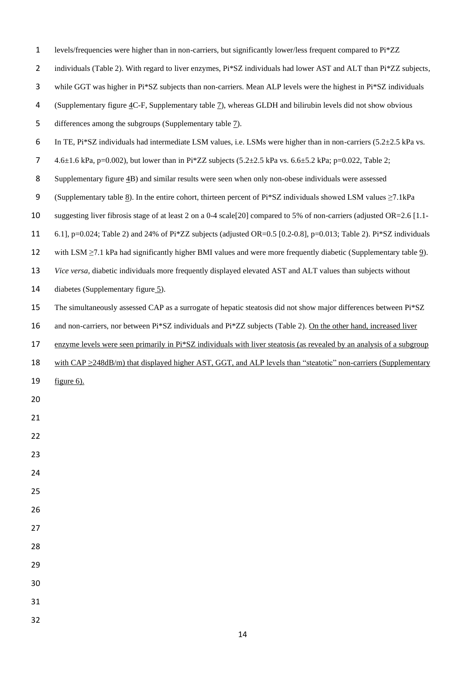| $\mathbf{1}$   | levels/frequencies were higher than in non-carriers, but significantly lower/less frequent compared to Pi*ZZ                      |
|----------------|-----------------------------------------------------------------------------------------------------------------------------------|
| $\overline{2}$ | individuals (Table 2). With regard to liver enzymes, Pi*SZ individuals had lower AST and ALT than Pi*ZZ subjects,                 |
| 3              | while GGT was higher in Pi*SZ subjects than non-carriers. Mean ALP levels were the highest in Pi*SZ individuals                   |
| 4              | (Supplementary figure 4C-F, Supplementary table 7), whereas GLDH and bilirubin levels did not show obvious                        |
| 5              | differences among the subgroups (Supplementary table 7).                                                                          |
| 6              | In TE, $Pi*SZ$ individuals had intermediate LSM values, i.e. LSMs were higher than in non-carriers $(5.2\pm 2.5 \text{ kPa vs.})$ |
| 7              | 4.6±1.6 kPa, p=0.002), but lower than in Pi*ZZ subjects (5.2±2.5 kPa vs. 6.6±5.2 kPa; p=0.022, Table 2;                           |
| 8              | Supplementary figure 4B) and similar results were seen when only non-obese individuals were assessed                              |
| 9              | (Supplementary table 8). In the entire cohort, thirteen percent of $Pi*SZ$ individuals showed LSM values $\geq 7.1$ kPa           |
| 10             | suggesting liver fibrosis stage of at least 2 on a 0-4 scale [20] compared to 5% of non-carriers (adjusted OR=2.6 [1.1-           |
| 11             | 6.1], p=0.024; Table 2) and 24% of Pi*ZZ subjects (adjusted OR=0.5 [0.2-0.8], p=0.013; Table 2). Pi*SZ individuals                |
| 12             | with LSM $\geq$ 7.1 kPa had significantly higher BMI values and were more frequently diabetic (Supplementary table 9).            |
| 13             | Vice versa, diabetic individuals more frequently displayed elevated AST and ALT values than subjects without                      |
| 14             | diabetes (Supplementary figure 5).                                                                                                |
| 15             | The simultaneously assessed CAP as a surrogate of hepatic steatosis did not show major differences between Pi*SZ                  |
| 16             | and non-carriers, nor between Pi*SZ individuals and Pi*ZZ subjects (Table 2). On the other hand, increased liver                  |
| 17             | enzyme levels were seen primarily in Pi*SZ individuals with liver steatosis (as revealed by an analysis of a subgroup             |
| 18             | with $CAP \geq 248dB/m$ ) that displayed higher AST, GGT, and ALP levels than "steatotic" non-carriers (Supplementary             |
| 19             | figure $6$ ).                                                                                                                     |
| 20             |                                                                                                                                   |
| 21             |                                                                                                                                   |
| 22             |                                                                                                                                   |
| 23             |                                                                                                                                   |
| 24             |                                                                                                                                   |
| 25             |                                                                                                                                   |
| 26             |                                                                                                                                   |
| 27             |                                                                                                                                   |
| 28             |                                                                                                                                   |
| 29             |                                                                                                                                   |
| 30             |                                                                                                                                   |
| 31             |                                                                                                                                   |
| 32             |                                                                                                                                   |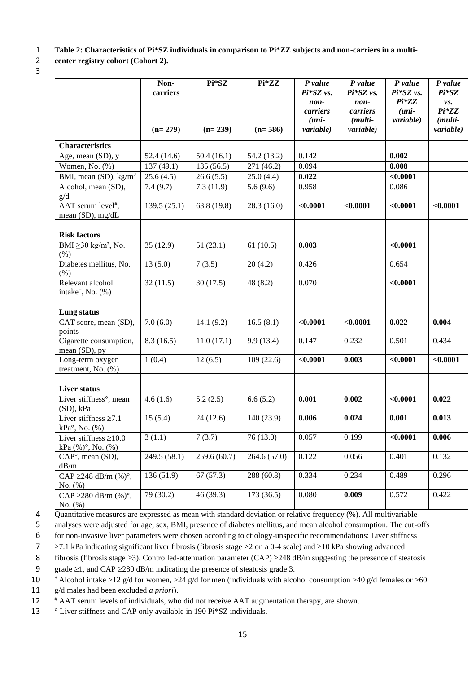1 **Table 2: Characteristics of Pi\*SZ individuals in comparison to Pi\*ZZ subjects and non-carriers in a multi-**

# 2 **center registry cohort (Cohort 2).**

3

|                                                       | Non-<br>carriers | Pi*SZ       | $Pi*ZZ$     | $P$ value<br>Pi*SZ vs.                           | P value<br>Pi*SZ vs.                             | P value<br>Pi*SZ vs.            | P value<br>$Pi*SZ$                     |
|-------------------------------------------------------|------------------|-------------|-------------|--------------------------------------------------|--------------------------------------------------|---------------------------------|----------------------------------------|
|                                                       | $(n=279)$        | $(n=239)$   | $(n=586)$   | non-<br>carriers<br>$(uni-$<br><i>variable</i> ) | non-<br>carriers<br>( <i>multi-</i><br>variable) | $Pi*ZZ$<br>$(uni-$<br>variable) | vs.<br>$Pi*ZZ$<br>(multi-<br>variable) |
| <b>Characteristics</b>                                |                  |             |             |                                                  |                                                  |                                 |                                        |
| Age, mean (SD), y                                     | 52.4(14.6)       | 50.4(16.1)  | 54.2 (13.2) | 0.142                                            |                                                  | 0.002                           |                                        |
| Women, No. (%)                                        | 137(49.1)        | 135(56.5)   | 271 (46.2)  | 0.094                                            |                                                  | 0.008                           |                                        |
| BMI, mean (SD), $\text{kg/m}^2$                       | 25.6(4.5)        | 26.6(5.5)   | 25.0(4.4)   | 0.022                                            |                                                  | < 0.0001                        |                                        |
| Alcohol, mean (SD),<br>g/d                            | 7.4(9.7)         | 7.3(11.9)   | 5.6(9.6)    | 0.958                                            |                                                  | 0.086                           |                                        |
| AAT serum level#,<br>mean (SD), mg/dL                 | 139.5(25.1)      | 63.8 (19.8) | 28.3(16.0)  | < 0.0001                                         | < 0.0001                                         | < 0.0001                        | < 0.0001                               |
| <b>Risk factors</b>                                   |                  |             |             |                                                  |                                                  |                                 |                                        |
| BMI $\geq$ 30 kg/m <sup>2</sup> , No.<br>(% )         | 35(12.9)         | 51(23.1)    | 61(10.5)    | 0.003                                            |                                                  | < 0.0001                        |                                        |
| Diabetes mellitus, No.<br>(% )                        | 13(5.0)          | 7(3.5)      | 20(4.2)     | 0.426                                            |                                                  | 0.654                           |                                        |
| Relevant alcohol<br>intake <sup>+</sup> , No. (%)     | 32(11.5)         | 30(17.5)    | 48(8.2)     | 0.070                                            |                                                  | < 0.0001                        |                                        |
| Lung status                                           |                  |             |             |                                                  |                                                  |                                 |                                        |
| CAT score, mean (SD),<br>points                       | 7.0(6.0)         | 14.1(9.2)   | 16.5(8.1)   | < 0.0001                                         | < 0.0001                                         | 0.022                           | 0.004                                  |
| Cigarette consumption,<br>mean (SD), py               | 8.3(16.5)        | 11.0(17.1)  | 9.9(13.4)   | 0.147                                            | 0.232                                            | 0.501                           | 0.434                                  |
| Long-term oxygen<br>treatment, No. (%)                | 1(0.4)           | 12(6.5)     | 109(22.6)   | < 0.0001                                         | 0.003                                            | < 0.0001                        | < 0.0001                               |
| <b>Liver status</b>                                   |                  |             |             |                                                  |                                                  |                                 |                                        |
| Liver stiffness°, mean<br>$(SD)$ , $kPa$              | 4.6(1.6)         | 5.2(2.5)    | 6.6(5.2)    | 0.001                                            | 0.002                                            | < 0.0001                        | 0.022                                  |
| Liver stiffness $\geq 7.1$<br>$kPa^{\circ}$ , No. (%) | 15(5.4)          | 24(12.6)    | 140 (23.9)  | 0.006                                            | 0.024                                            | 0.001                           | 0.013                                  |
| Liver stiffness $\geq 10.0$<br>kPa (%)°, No. (%)      | 3(1.1)           | 7(3.7)      | 76(13.0)    | 0.057                                            | 0.199                                            | < 0.0001                        | 0.006                                  |
| CAP°, mean (SD),<br>dB/m                              | 249.5 (58.1)     | 259.6(60.7) | 264.6(57.0) | 0.122                                            | 0.056                                            | 0.401                           | 0.132                                  |
| CAP ≥248 dB/m $(\%)^{\circ}$ ,<br>No. (%)             | 136(51.9)        | 67(57.3)    | 288 (60.8)  | 0.334                                            | 0.234                                            | 0.489                           | 0.296                                  |
| CAP ≥280 dB/m $(\%)^{\circ}$ ,<br>No. (%)             | 79 (30.2)        | 46(39.3)    | 173(36.5)   | 0.080                                            | 0.009                                            | 0.572                           | 0.422                                  |

<sup>4</sup> Quantitative measures are expressed as mean with standard deviation or relative frequency (%). All multivariable

9 grade  $\geq$ 1, and CAP  $\geq$ 280 dB/m indicating the presence of steatosis grade 3.

11 g/d males had been excluded *a priori*).

12 # AAT serum levels of individuals, who did not receive AAT augmentation therapy, are shown.

13 ° Liver stiffness and CAP only available in 190 Pi\*SZ individuals.

<sup>5</sup> analyses were adjusted for age, sex, BMI, presence of diabetes mellitus, and mean alcohol consumption. The cut-offs

<sup>6</sup> for non-invasive liver parameters were chosen according to etiology-unspecific recommendations: Liver stiffness

<sup>7</sup>  $\ge$  7.1 kPa indicating significant liver fibrosis (fibrosis stage  $\ge$  2 on a 0-4 scale) and  $\ge$  10 kPa showing advanced

<sup>8</sup> fibrosis (fibrosis stage  $\geq$ 3). Controlled-attenuation parameter (CAP)  $\geq$ 248 dB/m suggesting the presence of steatosis

<sup>10</sup> **<sup>+</sup>**Alcohol intake >12 g/d for women, >24 g/d for men (individuals with alcohol consumption >40 g/d females or >60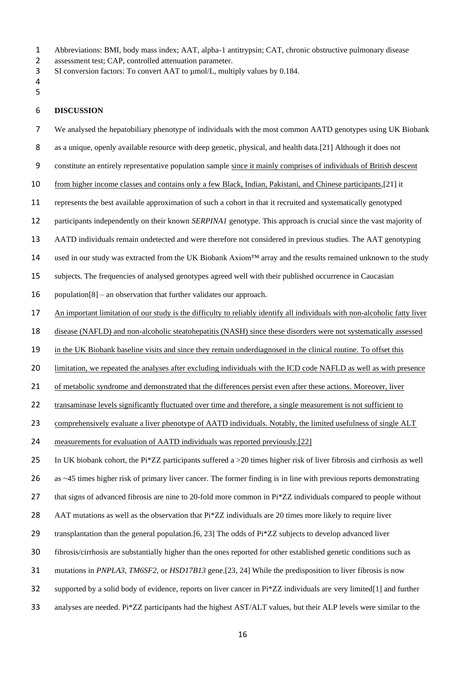- Abbreviations: BMI, body mass index; AAT, alpha-1 antitrypsin; CAT, chronic obstructive pulmonary disease
- assessment test; CAP, controlled attenuation parameter.
- 3 SI conversion factors: To convert AAT to  $\mu$ mol/L, multiply values by 0.184.
- 
- 

# **DISCUSSION**

- We analysed the hepatobiliary phenotype of individuals with the most common AATD genotypes using UK Biobank
- as a unique, openly available resource with deep genetic, physical, and health data.[\[21\]](#page-20-20) Although it does not
- constitute an entirely representative population sample since it mainly comprises of individuals of British descent
- 10 from higher income classes and contains only a few Black, Indian, Pakistani, and Chinese participants,[\[21\]](#page-20-20) it
- represents the best available approximation of such a cohort in that it recruited and systematically genotyped
- participants independently on their known *SERPINA1* genotype. This approach is crucial since the vast majority of
- AATD individuals remain undetected and were therefore not considered in previous studies. The AAT genotyping
- 14 used in our study was extracted from the UK Biobank Axiom<sup>™</sup> array and the results remained unknown to the study
- subjects. The frequencies of analysed genotypes agreed well with their published occurrence in Caucasian
- population[\[8\]](#page-20-7) an observation that further validates our approach.
- An important limitation of our study is the difficulty to reliably identify all individuals with non-alcoholic fatty liver
- disease (NAFLD) and non-alcoholic steatohepatitis (NASH) since these disorders were not systematically assessed
- in the UK Biobank baseline visits and since they remain underdiagnosed in the clinical routine. To offset this
- limitation, we repeated the analyses after excluding individuals with the ICD code NAFLD as well as with presence
- of metabolic syndrome and demonstrated that the differences persist even after these actions. Moreover, liver
- 22 transaminase levels significantly fluctuated over time and therefore, a single measurement is not sufficient to
- 23 comprehensively evaluate a liver phenotype of AATD individuals. Notably, the limited usefulness of single ALT
- measurements for evaluation of AATD individuals was reported previously.[\[22\]](#page-20-21)
- 25 In UK biobank cohort, the Pi\*ZZ participants suffered a  $>20$  times higher risk of liver fibrosis and cirrhosis as well
- as ~45 times higher risk of primary liver cancer. The former finding is in line with previous reports demonstrating
- 27 that signs of advanced fibrosis are nine to 20-fold more common in  $Pi*ZZ$  individuals compared to people without
- AAT mutations as well as the observation that Pi\*ZZ individuals are 20 times more likely to require liver
- 29 transplantation than the general population. [\[6,](#page-20-5) [23\]](#page-20-22) The odds of  $Pi*ZZ$  subjects to develop advanced liver
- fibrosis/cirrhosis are substantially higher than the ones reported for other established genetic conditions such as
- mutations in *PNPLA3*, *TM6SF2*, or *HSD17B13* gene.[\[23,](#page-20-22) [24\]](#page-20-23) While the predisposition to liver fibrosis is now
- 32 supported by a solid body of evidence, reports on liver cancer in  $Pi^*ZZ$  individuals are very limited[\[1\]](#page-20-0) and further
- analyses are needed. Pi\*ZZ participants had the highest AST/ALT values, but their ALP levels were similar to the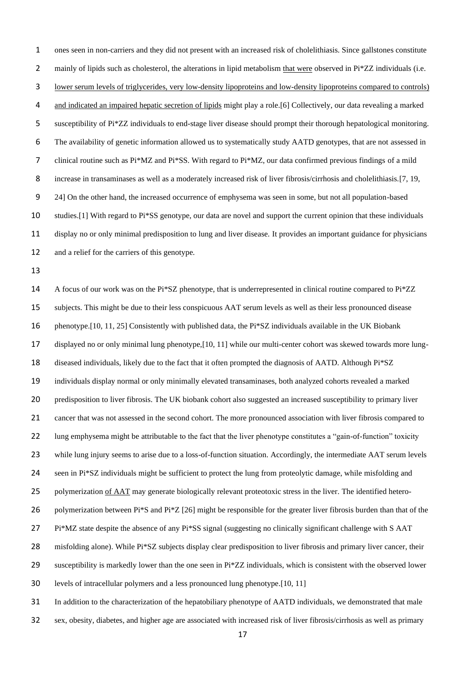ones seen in non-carriers and they did not present with an increased risk of cholelithiasis. Since gallstones constitute 2 mainly of lipids such as cholesterol, the alterations in lipid metabolism that were observed in Pi\*ZZ individuals (i.e. lower serum levels of triglycerides, very low-density lipoproteins and low-density lipoproteins compared to controls) and indicated an impaired hepatic secretion of lipids might play a role.[\[6\]](#page-20-5) Collectively, our data revealing a marked susceptibility of Pi\*ZZ individuals to end-stage liver disease should prompt their thorough hepatological monitoring. The availability of genetic information allowed us to systematically study AATD genotypes, that are not assessed in clinical routine such as Pi\*MZ and Pi\*SS. With regard to Pi\*MZ, our data confirmed previous findings of a mild increase in transaminases as well as a moderately increased risk of liver fibrosis/cirrhosis and cholelithiasis.[\[7,](#page-20-6) [19,](#page-20-18) [24\]](#page-20-23) On the other hand, the increased occurrence of emphysema was seen in some, but not all population-based studies.[\[1\]](#page-20-0) With regard to Pi\*SS genotype, our data are novel and support the current opinion that these individuals display no or only minimal predisposition to lung and liver disease. It provides an important guidance for physicians and a relief for the carriers of this genotype.

 A focus of our work was on the Pi\*SZ phenotype, that is underrepresented in clinical routine compared to Pi\*ZZ subjects. This might be due to their less conspicuous AAT serum levels as well as their less pronounced disease phenotype.[\[10,](#page-20-9) [11,](#page-20-10) [25\]](#page-20-24) Consistently with published data, the Pi\*SZ individuals available in the UK Biobank displayed no or only minimal lung phenotype,[\[10,](#page-20-9) [11\]](#page-20-10) while our multi-center cohort was skewed towards more lung- diseased individuals, likely due to the fact that it often prompted the diagnosis of AATD. Although Pi\*SZ individuals display normal or only minimally elevated transaminases, both analyzed cohorts revealed a marked predisposition to liver fibrosis. The UK biobank cohort also suggested an increased susceptibility to primary liver cancer that was not assessed in the second cohort. The more pronounced association with liver fibrosis compared to 22 lung emphysema might be attributable to the fact that the liver phenotype constitutes a "gain-of-function" toxicity while lung injury seems to arise due to a loss-of-function situation. Accordingly, the intermediate AAT serum levels 24 seen in  $Pi^*SZ$  individuals might be sufficient to protect the lung from proteolytic damage, while misfolding and 25 polymerization of AAT may generate biologically relevant proteotoxic stress in the liver. The identified hetero-26 polymerization between Pi\*S and Pi\*Z [\[26\]](#page-20-25) might be responsible for the greater liver fibrosis burden than that of the Pi\*MZ state despite the absence of any Pi\*SS signal (suggesting no clinically significant challenge with S AAT 28 misfolding alone). While  $Pi*SZ$  subjects display clear predisposition to liver fibrosis and primary liver cancer, their 29 susceptibility is markedly lower than the one seen in  $Pi*ZZ$  individuals, which is consistent with the observed lower levels of intracellular polymers and a less pronounced lung phenotype.[\[10,](#page-20-9) [11\]](#page-20-10) In addition to the characterization of the hepatobiliary phenotype of AATD individuals, we demonstrated that male

sex, obesity, diabetes, and higher age are associated with increased risk of liver fibrosis/cirrhosis as well as primary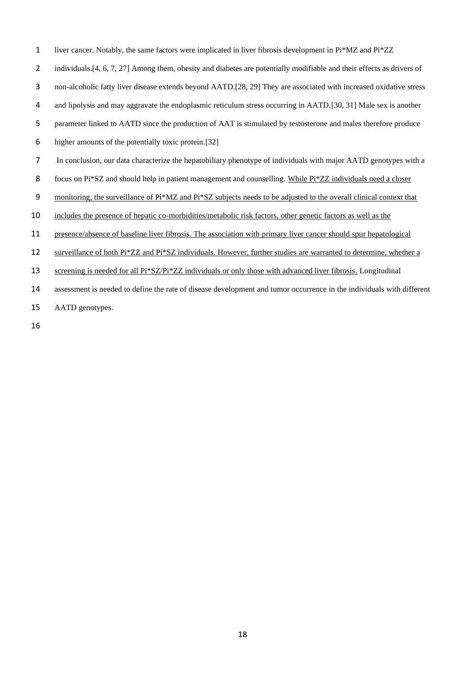liver cancer. Notably, the same factors were implicated in liver fibrosis development in Pi\*MZ and Pi\*ZZ

2 individuals. [\[4,](#page-20-3) [6,](#page-20-5) [7,](#page-20-6) [27\]](#page-21-0) Among them, obesity and diabetes are potentially modifiable and their effects as drivers of

- non-alcoholic fatty liver disease extends beyond AATD.[\[28,](#page-21-1) [29\]](#page-21-2) They are associated with increased oxidative stress
- and lipolysis and may aggravate the endoplasmic reticulum stress occurring in AATD.[\[30,](#page-21-3) [31\]](#page-21-4) Male sex is another
- parameter linked to AATD since the production of AAT is stimulated by testosterone and males therefore produce
- higher amounts of the potentially toxic protein.[\[32\]](#page-21-5)
- In conclusion, our data characterize the hepatobiliary phenotype of individuals with major AATD genotypes with a
- 8 focus on Pi\*SZ and should help in patient management and counselling. While Pi\*ZZ individuals need a closer
- monitoring, the surveillance of Pi\*MZ and Pi\*SZ subjects needs to be adjusted to the overall clinical context that
- includes the presence of hepatic co-morbidities/metabolic risk factors, other genetic factors as well as the
- presence/absence of baseline liver fibrosis. The association with primary liver cancer should spur hepatological
- 12 surveillance of both Pi\*ZZ and Pi\*SZ individuals. However, further studies are warranted to determine, whether a
- 13 screening is needed for all Pi\*SZ/Pi\*ZZ individuals or only those with advanced liver fibrosis. Longitudinal
- assessment is needed to define the rate of disease development and tumor occurrence in the individuals with different
- AATD genotypes.
-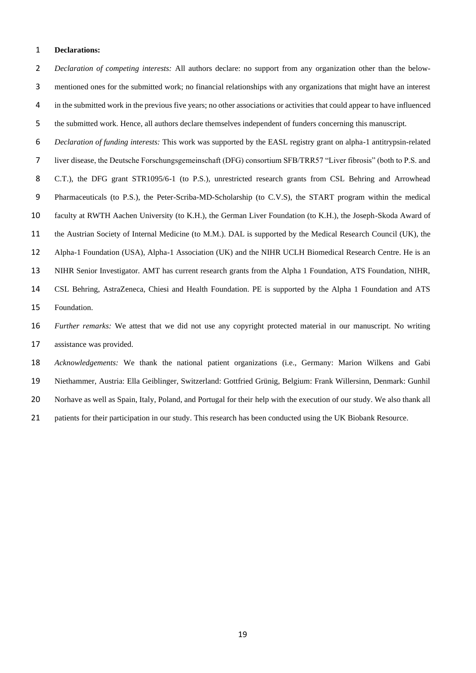#### **Declarations:**

 *Declaration of competing interests:* All authors declare: no support from any organization other than the below- mentioned ones for the submitted work; no financial relationships with any organizations that might have an interest in the submitted work in the previous five years; no other associations or activities that could appear to have influenced the submitted work. Hence, all authors declare themselves independent of funders concerning this manuscript.

 *Declaration of funding interests:* This work was supported by the EASL registry grant on alpha-1 antitrypsin-related liver disease, the Deutsche Forschungsgemeinschaft (DFG) consortium SFB/TRR57 "Liver fibrosis" (both to P.S. and C.T.), the DFG grant STR1095/6-1 (to P.S.), unrestricted research grants from CSL Behring and Arrowhead Pharmaceuticals (to P.S.), the Peter-Scriba-MD-Scholarship (to C.V.S), the START program within the medical faculty at RWTH Aachen University (to K.H.), the German Liver Foundation (to K.H.), the Joseph-Skoda Award of the Austrian Society of Internal Medicine (to M.M.). DAL is supported by the Medical Research Council (UK), the Alpha-1 Foundation (USA), Alpha-1 Association (UK) and the NIHR UCLH Biomedical Research Centre. He is an NIHR Senior Investigator. AMT has current research grants from the Alpha 1 Foundation, ATS Foundation, NIHR, CSL Behring, AstraZeneca, Chiesi and Health Foundation. PE is supported by the Alpha 1 Foundation and ATS Foundation.

 *Further remarks:* We attest that we did not use any copyright protected material in our manuscript. No writing assistance was provided.

 *Acknowledgements:* We thank the national patient organizations (i.e., Germany: Marion Wilkens and Gabi Niethammer, Austria: Ella Geiblinger, Switzerland: Gottfried Grünig, Belgium: Frank Willersinn, Denmark: Gunhil Norhave as well as Spain, Italy, Poland, and Portugal for their help with the execution of our study. We also thank all 21 patients for their participation in our study. This research has been conducted using the UK Biobank Resource.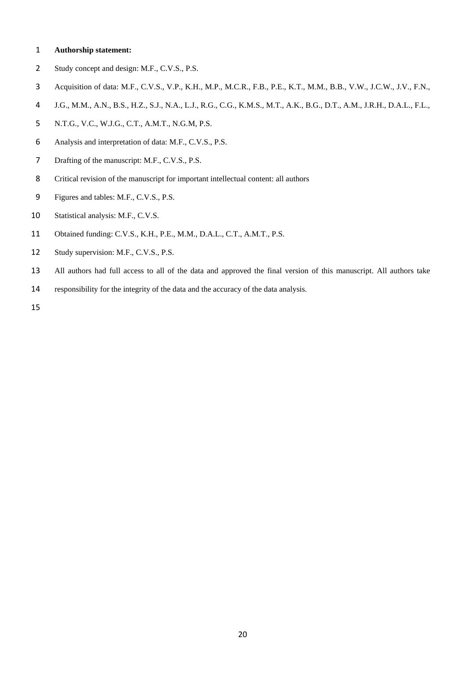## **Authorship statement:**

- Study concept and design: M.F., C.V.S., P.S.
- Acquisition of data: M.F., C.V.S., V.P., K.H., M.P., M.C.R., F.B., P.E., K.T., M.M., B.B., V.W., J.C.W., J.V., F.N.,
- J.G., M.M., A.N., B.S., H.Z., S.J., N.A., L.J., R.G., C.G., K.M.S., M.T., A.K., B.G., D.T., A.M., J.R.H., D.A.L., F.L.,
- N.T.G., V.C., W.J.G., C.T., A.M.T., N.G.M, P.S.
- Analysis and interpretation of data: M.F., C.V.S., P.S.
- 7 Drafting of the manuscript: M.F., C.V.S., P.S.
- Critical revision of the manuscript for important intellectual content: all authors
- Figures and tables: M.F., C.V.S., P.S.
- 10 Statistical analysis: M.F., C.V.S.
- Obtained funding: C.V.S., K.H., P.E., M.M., D.A.L., C.T., A.M.T., P.S.
- Study supervision: M.F., C.V.S., P.S.
- All authors had full access to all of the data and approved the final version of this manuscript. All authors take
- responsibility for the integrity of the data and the accuracy of the data analysis.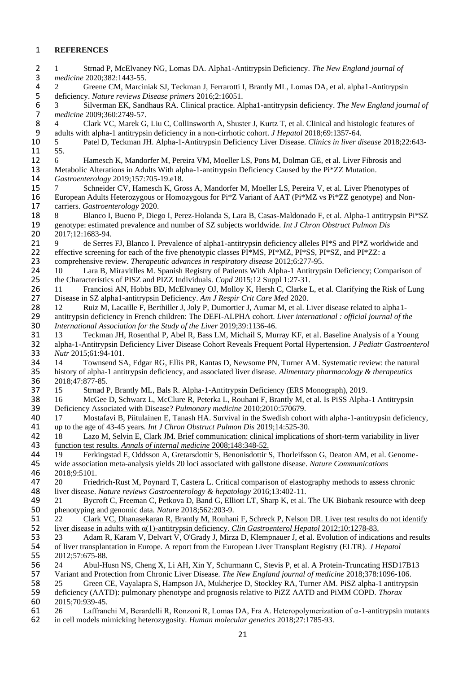# **REFERENCES**

<span id="page-20-12"></span><span id="page-20-11"></span><span id="page-20-10"></span><span id="page-20-9"></span><span id="page-20-8"></span><span id="page-20-7"></span><span id="page-20-6"></span><span id="page-20-5"></span><span id="page-20-4"></span><span id="page-20-3"></span><span id="page-20-2"></span><span id="page-20-1"></span><span id="page-20-0"></span>

| $\overline{2}$                     | Strnad P, McElvaney NG, Lomas DA. Alpha1-Antitrypsin Deficiency. The New England journal of<br>1                                                                                                                           |
|------------------------------------|----------------------------------------------------------------------------------------------------------------------------------------------------------------------------------------------------------------------------|
| $\mathsf 3$                        | medicine 2020;382:1443-55.                                                                                                                                                                                                 |
| 4                                  | Greene CM, Marciniak SJ, Teckman J, Ferrarotti I, Brantly ML, Lomas DA, et al. alpha1-Antitrypsin<br>2                                                                                                                     |
| 5                                  | deficiency. Nature reviews Disease primers 2016;2:16051.                                                                                                                                                                   |
| $\boldsymbol{6}$<br>$\overline{7}$ | Silverman EK, Sandhaus RA. Clinical practice. Alpha1-antitrypsin deficiency. The New England journal of<br>3<br>medicine 2009;360:2749-57.                                                                                 |
| 8                                  | Clark VC, Marek G, Liu C, Collinsworth A, Shuster J, Kurtz T, et al. Clinical and histologic features of<br>4                                                                                                              |
| 9                                  | adults with alpha-1 antitrypsin deficiency in a non-cirrhotic cohort. J Hepatol 2018;69:1357-64.                                                                                                                           |
| 10                                 | Patel D, Teckman JH. Alpha-1-Antitrypsin Deficiency Liver Disease. Clinics in liver disease 2018;22:643-<br>5                                                                                                              |
| 11                                 | 55.                                                                                                                                                                                                                        |
| 12                                 | Hamesch K, Mandorfer M, Pereira VM, Moeller LS, Pons M, Dolman GE, et al. Liver Fibrosis and<br>6                                                                                                                          |
| 13                                 | Metabolic Alterations in Adults With alpha-1-antitrypsin Deficiency Caused by the Pi*ZZ Mutation.                                                                                                                          |
| 14                                 | Gastroenterology 2019;157:705-19.e18.                                                                                                                                                                                      |
| 15                                 | Schneider CV, Hamesch K, Gross A, Mandorfer M, Moeller LS, Pereira V, et al. Liver Phenotypes of<br>7                                                                                                                      |
| 16                                 | European Adults Heterozygous or Homozygous for Pi*Z Variant of AAT (Pi*MZ vs Pi*ZZ genotype) and Non-                                                                                                                      |
| 17                                 | carriers. Gastroenterology 2020.                                                                                                                                                                                           |
| 18                                 | Blanco I, Bueno P, Diego I, Perez-Holanda S, Lara B, Casas-Maldonado F, et al. Alpha-1 antitrypsin Pi*SZ<br>8                                                                                                              |
| 19                                 | genotype: estimated prevalence and number of SZ subjects worldwide. Int J Chron Obstruct Pulmon Dis                                                                                                                        |
| 20                                 | 2017;12:1683-94.                                                                                                                                                                                                           |
| 21                                 | de Serres FJ, Blanco I. Prevalence of alpha1-antitrypsin deficiency alleles PI*S and PI*Z worldwide and<br>9                                                                                                               |
| 22                                 | effective screening for each of the five phenotypic classes PI*MS, PI*MZ, PI*SS, PI*SZ, and PI*ZZ: a                                                                                                                       |
| 23                                 | comprehensive review. Therapeutic advances in respiratory disease 2012;6:277-95.                                                                                                                                           |
| 24                                 | Lara B, Miravitlles M. Spanish Registry of Patients With Alpha-1 Antitrypsin Deficiency; Comparison of<br>10                                                                                                               |
| 25                                 | the Characteristics of PISZ and PIZZ Individuals. Copd 2015;12 Suppl 1:27-31.                                                                                                                                              |
| 26                                 | Franciosi AN, Hobbs BD, McElvaney OJ, Molloy K, Hersh C, Clarke L, et al. Clarifying the Risk of Lung<br>11                                                                                                                |
| 27<br>28                           | Disease in SZ alpha1-antitrypsin Deficiency. Am J Respir Crit Care Med 2020.<br>12                                                                                                                                         |
| 29                                 | Ruiz M, Lacaille F, Berthiller J, Joly P, Dumortier J, Aumar M, et al. Liver disease related to alpha1-<br>antitrypsin deficiency in French children: The DEFI-ALPHA cohort. Liver international : official journal of the |
| 30                                 | International Association for the Study of the Liver 2019;39:1136-46.                                                                                                                                                      |
| 31                                 | Teckman JH, Rosenthal P, Abel R, Bass LM, Michail S, Murray KF, et al. Baseline Analysis of a Young<br>13                                                                                                                  |
| 32                                 | alpha-1-Antitrypsin Deficiency Liver Disease Cohort Reveals Frequent Portal Hypertension. J Pediatr Gastroenterol                                                                                                          |
| 33                                 | Nutr 2015;61:94-101.                                                                                                                                                                                                       |
| 34                                 | Townsend SA, Edgar RG, Ellis PR, Kantas D, Newsome PN, Turner AM. Systematic review: the natural<br>14                                                                                                                     |
| 35                                 | history of alpha-1 antitrypsin deficiency, and associated liver disease. Alimentary pharmacology & therapeutics                                                                                                            |
| 36                                 | 2018;47:877-85.                                                                                                                                                                                                            |
| 37                                 | Strnad P, Brantly ML, Bals R. Alpha-1-Antitrypsin Deficiency (ERS Monograph), 2019.<br>15                                                                                                                                  |
| 38                                 | 16<br>McGee D, Schwarz L, McClure R, Peterka L, Rouhani F, Brantly M, et al. Is PiSS Alpha-1 Antitrypsin                                                                                                                   |
| 39                                 | Deficiency Associated with Disease? Pulmonary medicine 2010;2010:570679.                                                                                                                                                   |
| 40                                 | Mostafavi B, Piitulainen E, Tanash HA. Survival in the Swedish cohort with alpha-1-antitrypsin deficiency,<br>17                                                                                                           |
| 41                                 | up to the age of 43-45 years. Int J Chron Obstruct Pulmon Dis 2019;14:525-30.                                                                                                                                              |
| 42                                 | Lazo M, Selvin E, Clark JM. Brief communication: clinical implications of short-term variability in liver<br>18                                                                                                            |
| 43                                 | function test results. Annals of internal medicine 2008;148:348-52.                                                                                                                                                        |
| 44                                 | Ferkingstad E, Oddsson A, Gretarsdottir S, Benonisdottir S, Thorleifsson G, Deaton AM, et al. Genome-<br>19                                                                                                                |
| 45                                 | wide association meta-analysis yields 20 loci associated with gallstone disease. Nature Communications                                                                                                                     |
| 46                                 | 2018;9:5101.                                                                                                                                                                                                               |
| 47                                 | Friedrich-Rust M, Poynard T, Castera L. Critical comparison of elastography methods to assess chronic<br>20                                                                                                                |
| 48                                 | liver disease. Nature reviews Gastroenterology & hepatology 2016;13:402-11.                                                                                                                                                |
| 49<br>50                           | 21<br>Bycroft C, Freeman C, Petkova D, Band G, Elliott LT, Sharp K, et al. The UK Biobank resource with deep<br>phenotyping and genomic data. Nature 2018;562:203-9.                                                       |
| 51                                 | Clark VC, Dhanasekaran R, Brantly M, Rouhani F, Schreck P, Nelson DR. Liver test results do not identify<br>22                                                                                                             |
| 52                                 | liver disease in adults with $\alpha(1)$ -antitrypsin deficiency. Clin Gastroenterol Hepatol 2012;10:1278-83.                                                                                                              |
| 53                                 | 23<br>Adam R, Karam V, Delvart V, O'Grady J, Mirza D, Klempnauer J, et al. Evolution of indications and results                                                                                                            |
| 54                                 | of liver transplantation in Europe. A report from the European Liver Transplant Registry (ELTR). J Hepatol                                                                                                                 |
| 55                                 | 2012;57:675-88.                                                                                                                                                                                                            |
| 56                                 | Abul-Husn NS, Cheng X, Li AH, Xin Y, Schurmann C, Stevis P, et al. A Protein-Truncating HSD17B13<br>24                                                                                                                     |
| 57                                 | Variant and Protection from Chronic Liver Disease. The New England journal of medicine 2018;378:1096-106.                                                                                                                  |
| 58                                 | Green CE, Vayalapra S, Hampson JA, Mukherjee D, Stockley RA, Turner AM. PiSZ alpha-1 antitrypsin<br>25                                                                                                                     |
| 59                                 | deficiency (AATD): pulmonary phenotype and prognosis relative to PiZZ AATD and PiMM COPD. Thorax                                                                                                                           |
| 60                                 | 2015;70:939-45.                                                                                                                                                                                                            |
| 61                                 | Laffranchi M, Berardelli R, Ronzoni R, Lomas DA, Fra A. Heteropolymerization of $\alpha$ -1-antitrypsin mutants<br>26                                                                                                      |

<span id="page-20-25"></span><span id="page-20-24"></span><span id="page-20-23"></span><span id="page-20-22"></span><span id="page-20-21"></span><span id="page-20-20"></span><span id="page-20-19"></span><span id="page-20-18"></span><span id="page-20-17"></span><span id="page-20-16"></span><span id="page-20-15"></span><span id="page-20-14"></span><span id="page-20-13"></span>in cell models mimicking heterozygosity. *Human molecular genetics* 2018;27:1785-93.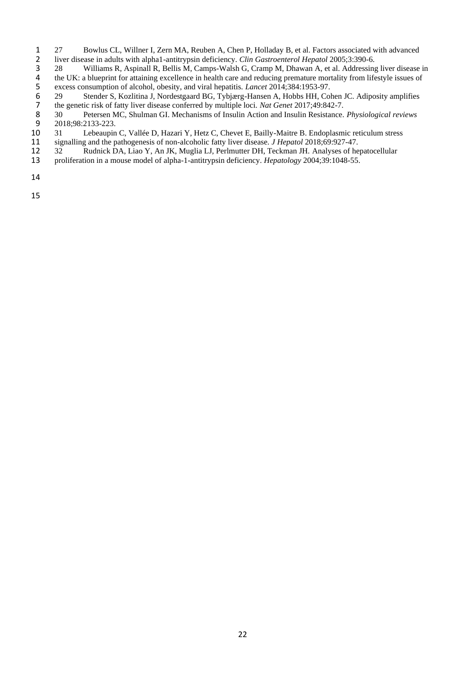- <span id="page-21-0"></span>27 Bowlus CL, Willner I, Zern MA, Reuben A, Chen P, Holladay B, et al. Factors associated with advanced<br>2 liver disease in adults with alpha1-antitrypsin deficiency. *Clin Gastroenterol Hepatol* 2005:3:390-6.
- 2 liver disease in adults with alpha1-antitrypsin deficiency. *Clin Gastroenterol Hepatol* 2005;3:390-6.<br>28 Williams R, Aspinall R, Bellis M, Camps-Walsh G, Cramp M, Dhawan A, et al. Addressing
- <span id="page-21-1"></span>3 28 Williams R, Aspinall R, Bellis M, Camps-Walsh G, Cramp M, Dhawan A, et al. Addressing liver disease in the UK: a blueprint for attaining excellence in health care and reducing premature mortality from lifestyle issues
- 5 excess consumption of alcohol, obesity, and viral hepatitis. *Lancet* 2014;384:1953-97.
- the UK: a blueprint for attaining excellence in health care and reducing premature mortality from lifestyle issues of<br>excess consumption of alcohol, obesity, and viral hepatitis. *Lancet* 2014;384:1953-97.<br>29 Stender S, Ko 6 29 Stender S, Kozlitina J, Nordestgaard BG, Tybjærg-Hansen A, Hobbs HH, Cohen JC. Adiposity amplifies
- <span id="page-21-3"></span><span id="page-21-2"></span>7 the genetic risk of fatty liver disease conferred by multiple loci. *Nat Genet* 2017;49:842-7.<br>8 30 Petersen MC, Shulman GI. Mechanisms of Insulin Action and Insulin Resistance. 8 30 Petersen MC, Shulman GI. Mechanisms of Insulin Action and Insulin Resistance. *Physiological reviews*
- <span id="page-21-4"></span>9 2018;98:2133-223.<br>10 31 Lebeaupin 10 31 Lebeaupin C, Vallée D, Hazari Y, Hetz C, Chevet E, Bailly-Maitre B. Endoplasmic reticulum stress
- 11 signalling and the pathogenesis of non-alcoholic fatty liver disease. *J Hepatol* 2018;69:927-47.
- <span id="page-21-5"></span>12 32 Rudnick DA, Liao Y, An JK, Muglia LJ, Perlmutter DH, Teckman JH. Analyses of hepatocellular proliferation in a mouse model of alpha-1-antitrypsin deficiency. *Hepatology* 2004;39:1048-55.
- 13 proliferation in a mouse model of alpha-1-antitrypsin deficiency. *Hepatology* 2004;39:1048-55.
- 14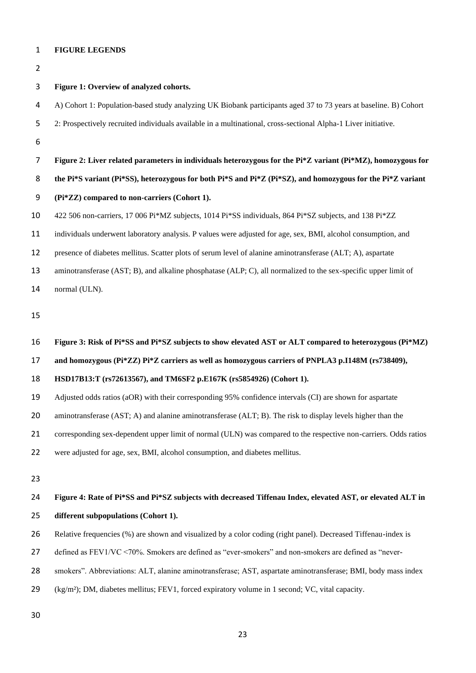#### **FIGURE LEGENDS**

## **Figure 1: Overview of analyzed cohorts.**

- A) Cohort 1: Population-based study analyzing UK Biobank participants aged 37 to 73 years at baseline. B) Cohort
- 2: Prospectively recruited individuals available in a multinational, cross-sectional Alpha-1 Liver initiative.
- 
- **Figure 2: Liver related parameters in individuals heterozygous for the Pi\*Z variant (Pi\*MZ), homozygous for**

**the Pi\*S variant (Pi\*SS), heterozygous for both Pi\*S and Pi\*Z (Pi\*SZ), and homozygous for the Pi\*Z variant** 

- **(Pi\*ZZ) compared to non-carriers (Cohort 1).**
- 422 506 non-carriers, 17 006 Pi\*MZ subjects, 1014 Pi\*SS individuals, 864 Pi\*SZ subjects, and 138 Pi\*ZZ
- individuals underwent laboratory analysis. P values were adjusted for age, sex, BMI, alcohol consumption, and
- presence of diabetes mellitus. Scatter plots of serum level of alanine aminotransferase (ALT; A), aspartate
- aminotransferase (AST; B), and alkaline phosphatase (ALP; C), all normalized to the sex-specific upper limit of
- normal (ULN).

- **Figure 3: Risk of Pi\*SS and Pi\*SZ subjects to show elevated AST or ALT compared to heterozygous (Pi\*MZ)**
- **and homozygous (Pi\*ZZ) Pi\*Z carriers as well as homozygous carriers of PNPLA3 p.I148M (rs738409),**
- **HSD17B13:T (rs72613567), and TM6SF2 p.E167K (rs5854926) (Cohort 1).**
- Adjusted odds ratios (aOR) with their corresponding 95% confidence intervals (CI) are shown for aspartate
- aminotransferase (AST; A) and alanine aminotransferase (ALT; B). The risk to display levels higher than the
- 21 corresponding sex-dependent upper limit of normal (ULN) was compared to the respective non-carriers. Odds ratios
- were adjusted for age, sex, BMI, alcohol consumption, and diabetes mellitus.
- 

# **Figure 4: Rate of Pi\*SS and Pi\*SZ subjects with decreased Tiffenau Index, elevated AST, or elevated ALT in different subpopulations (Cohort 1).**

- Relative frequencies (%) are shown and visualized by a color coding (right panel). Decreased Tiffenau-index is
- defined as FEV1/VC <70%. Smokers are defined as "ever-smokers" and non-smokers are defined as "never-
- smokers". Abbreviations: ALT, alanine aminotransferase; AST, aspartate aminotransferase; BMI, body mass index
- (kg/m²); DM, diabetes mellitus; FEV1, forced expiratory volume in 1 second; VC, vital capacity.